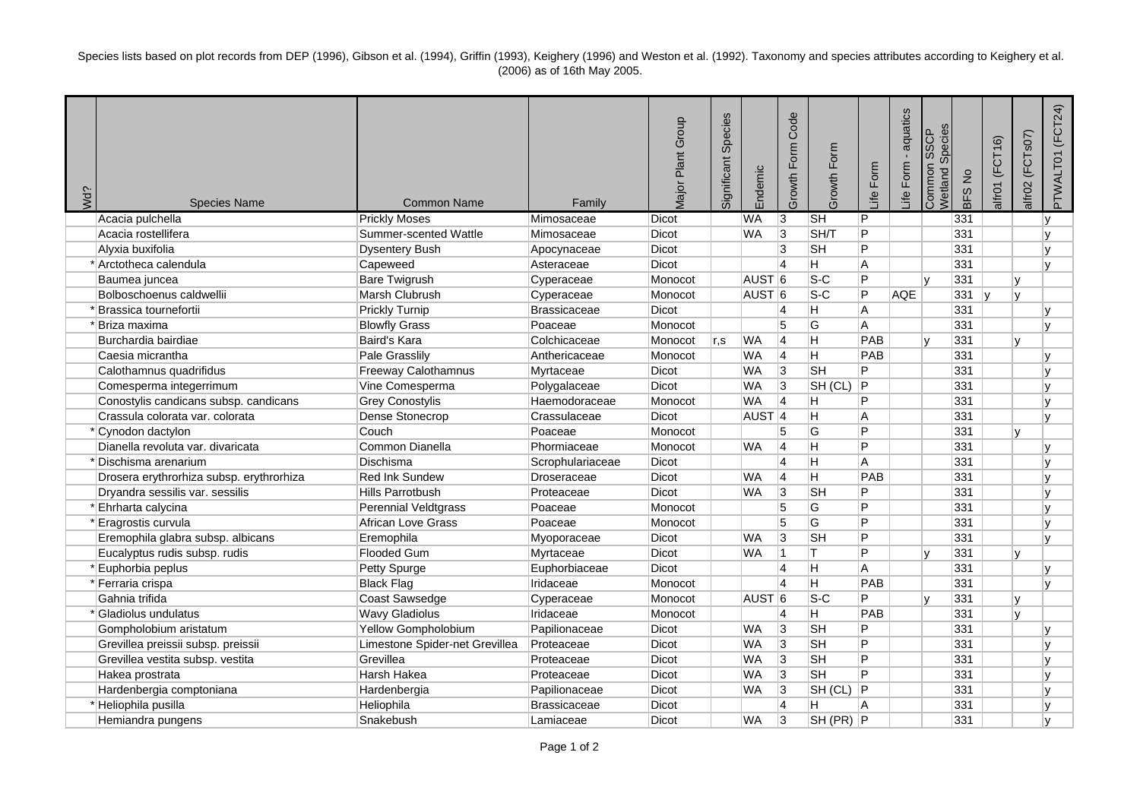Species lists based on plot records from DEP (1996), Gibson et al. (1994), Griffin (1993), Keighery (1996) and Weston et al. (1992). Taxonomy and species attributes according to Keighery et al. (2006) as of 16th May 2005.

| Wd? | <b>Species Name</b>                      | <b>Common Name</b>             | Family              | Major Plant Group | Species<br>Significant | Endemic           | Code<br>Growth Form | Form<br>Growth | Life Form      | - aquatics<br>Form<br>Life | Species<br><b>SSCP</b><br>Common<br>Wetland: | $\frac{\circ}{\sim}$<br><b>BES</b> | (FCT16)<br>alfr01 | alfr02 (FCTs07) | PTWALT01 (FCT24) |
|-----|------------------------------------------|--------------------------------|---------------------|-------------------|------------------------|-------------------|---------------------|----------------|----------------|----------------------------|----------------------------------------------|------------------------------------|-------------------|-----------------|------------------|
|     | Acacia pulchella                         | <b>Prickly Moses</b>           | Mimosaceae          | <b>Dicot</b>      |                        | <b>WA</b>         | 3                   | <b>SH</b>      | P              |                            |                                              | 331                                |                   |                 | v                |
|     | Acacia rostellifera                      | Summer-scented Wattle          | Mimosaceae          | Dicot             |                        | <b>WA</b>         | 3                   | SH/T           | P              |                            |                                              | 331                                |                   |                 | Iv.              |
|     | Alyxia buxifolia                         | <b>Dysentery Bush</b>          | Apocynaceae         | Dicot             |                        |                   | 3                   | SH             | P              |                            |                                              | 331                                |                   |                 | ly.              |
|     | * Arctotheca calendula                   | Capeweed                       | Asteraceae          | Dicot             |                        |                   | $\overline{4}$      | $\overline{H}$ | A              |                            |                                              | 331                                |                   |                 | IV.              |
|     | Baumea juncea                            | <b>Bare Twigrush</b>           | Cyperaceae          | Monocot           |                        | AUST <sub>6</sub> |                     | $S-C$          | P              |                            | Iv.                                          | 331                                |                   | y               |                  |
|     | Bolboschoenus caldwellii                 | Marsh Clubrush                 | Cyperaceae          | Monocot           |                        | AUST <sub>6</sub> |                     | $s-c$          | P              | <b>AQE</b>                 |                                              | 331                                | v                 | V               |                  |
|     | Brassica tournefortii                    | <b>Prickly Turnip</b>          | Brassicaceae        | Dicot             |                        |                   | $\overline{4}$      | H              | $\overline{A}$ |                            |                                              | 331                                |                   |                 | ly.              |
|     | Briza maxima                             | <b>Blowfly Grass</b>           | Poaceae             | Monocot           |                        |                   | $\overline{5}$      | G              | A              |                            |                                              | 331                                |                   |                 | IV.              |
|     | Burchardia bairdiae                      | Baird's Kara                   | Colchicaceae        | Monocot           | r,s                    | <b>WA</b>         | $\overline{4}$      | Η              | PAB            |                            | l۷                                           | 331                                |                   | v               |                  |
|     | Caesia micrantha                         | <b>Pale Grasslily</b>          | Anthericaceae       | Monocot           |                        | <b>WA</b>         | $\overline{4}$      | H              | PAB            |                            |                                              | 331                                |                   |                 | ly.              |
|     | Calothamnus quadrifidus                  | <b>Freeway Calothamnus</b>     | Myrtaceae           | Dicot             |                        | <b>WA</b>         | $\overline{3}$      | <b>SH</b>      | P              |                            |                                              | 331                                |                   |                 | Iv.              |
|     | Comesperma integerrimum                  | Vine Comesperma                | Polygalaceae        | Dicot             |                        | <b>WA</b>         | 3                   | SH (CL)        | Þ              |                            |                                              | 331                                |                   |                 | lv               |
|     | Conostylis candicans subsp. candicans    | <b>Grey Conostylis</b>         | Haemodoraceae       | Monocot           |                        | <b>WA</b>         | $\overline{4}$      | н              | P              |                            |                                              | 331                                |                   |                 | IV.              |
|     | Crassula colorata var. colorata          | Dense Stonecrop                | Crassulaceae        | Dicot             |                        | AUST <sub>4</sub> |                     | Η              | A              |                            |                                              | 331                                |                   |                 | v                |
|     | *Cynodon dactylon                        | Couch                          | Poaceae             | Monocot           |                        |                   | 5                   | G              | P              |                            |                                              | 331                                |                   | $\mathsf{v}$    |                  |
|     | Dianella revoluta var. divaricata        | Common Dianella                | Phormiaceae         | Monocot           |                        | <b>WA</b>         | $\overline{4}$      | н              | P              |                            |                                              | 331                                |                   |                 | Iv.              |
|     | * Dischisma arenarium                    | Dischisma                      | Scrophulariaceae    | Dicot             |                        |                   | $\overline{4}$      | н              | A              |                            |                                              | 331                                |                   |                 | IV.              |
|     | Drosera erythrorhiza subsp. erythrorhiza | <b>Red Ink Sundew</b>          | Droseraceae         | Dicot             |                        | <b>WA</b>         | $\overline{4}$      | Η              | PAB            |                            |                                              | 331                                |                   |                 | IV.              |
|     | Dryandra sessilis var. sessilis          | Hills Parrotbush               | Proteaceae          | Dicot             |                        | <b>WA</b>         | $\overline{3}$      | <b>SH</b>      | P              |                            |                                              | 331                                |                   |                 | IV.              |
|     | * Ehrharta calycina                      | Perennial Veldtgrass           | Poaceae             | Monocot           |                        |                   | 5                   | G              | P              |                            |                                              | 331                                |                   |                 | ly.              |
|     | Eragrostis curvula                       | African Love Grass             | Poaceae             | Monocot           |                        |                   | $\overline{5}$      | G              | P              |                            |                                              | 331                                |                   |                 | ly.              |
|     | Eremophila glabra subsp. albicans        | Eremophila                     | Myoporaceae         | Dicot             |                        | <b>WA</b>         | 3                   | ∣sн            | P              |                            |                                              | 331                                |                   |                 | IV.              |
|     | Eucalyptus rudis subsp. rudis            | <b>Flooded Gum</b>             | Myrtaceae           | Dicot             |                        | <b>WA</b>         | $\vert$ 1           | ΙT             | P              |                            | lv                                           | 331                                |                   | v               |                  |
|     | Euphorbia peplus                         | Petty Spurge                   | Euphorbiaceae       | Dicot             |                        |                   | $\overline{4}$      | н              | A              |                            |                                              | 331                                |                   |                 | IV.              |
|     | *Ferraria crispa                         | <b>Black Flag</b>              | Iridaceae           | Monocot           |                        |                   | $\vert$ 4           | H              | PAB            |                            |                                              | 331                                |                   |                 | IV.              |
|     | Gahnia trifida                           | Coast Sawsedge                 | Cyperaceae          | Monocot           |                        | AUST <sub>6</sub> |                     | $ S-C$         | P              |                            | Iv.                                          | 331                                |                   | v               |                  |
|     | Gladiolus undulatus                      | <b>Wavy Gladiolus</b>          | Iridaceae           | Monocot           |                        |                   | $\overline{4}$      | H              | PAB            |                            |                                              | 331                                |                   | $\mathsf{v}$    |                  |
|     | Gompholobium aristatum                   | Yellow Gompholobium            | Papilionaceae       | Dicot             |                        | <b>WA</b>         | $\overline{3}$      | <b>SH</b>      | P              |                            |                                              | 331                                |                   |                 | IV.              |
|     | Grevillea preissii subsp. preissii       | Limestone Spider-net Grevillea | Proteaceae          | <b>Dicot</b>      |                        | <b>WA</b>         | $\overline{3}$      | <b>SH</b>      | P              |                            |                                              | 331                                |                   |                 | Iv.              |
|     | Grevillea vestita subsp. vestita         | Grevillea                      | Proteaceae          | Dicot             |                        | <b>WA</b>         | $\overline{3}$      | <b>SH</b>      | P              |                            |                                              | 331                                |                   |                 | IV.              |
|     | Hakea prostrata                          | Harsh Hakea                    | Proteaceae          | Dicot             |                        | <b>WA</b>         | $\overline{3}$      | <b>SH</b>      | P              |                            |                                              | 331                                |                   |                 | lv               |
|     | Hardenbergia comptoniana                 | Hardenbergia                   | Papilionaceae       | <b>Dicot</b>      |                        | <b>WA</b>         | $\overline{3}$      | SH (CL)        | IP             |                            |                                              | 331                                |                   |                 | IV.              |
|     | * Heliophila pusilla                     | Heliophila                     | <b>Brassicaceae</b> | <b>Dicot</b>      |                        |                   | $\overline{4}$      | н              | Α              |                            |                                              | 331                                |                   |                 | IV.              |
|     | Hemiandra pungens                        | Snakebush                      | Lamiaceae           | Dicot             |                        | <b>WA</b>         | 3                   | SH (PR)        | ΙP             |                            |                                              | 331                                |                   |                 | Iv.              |